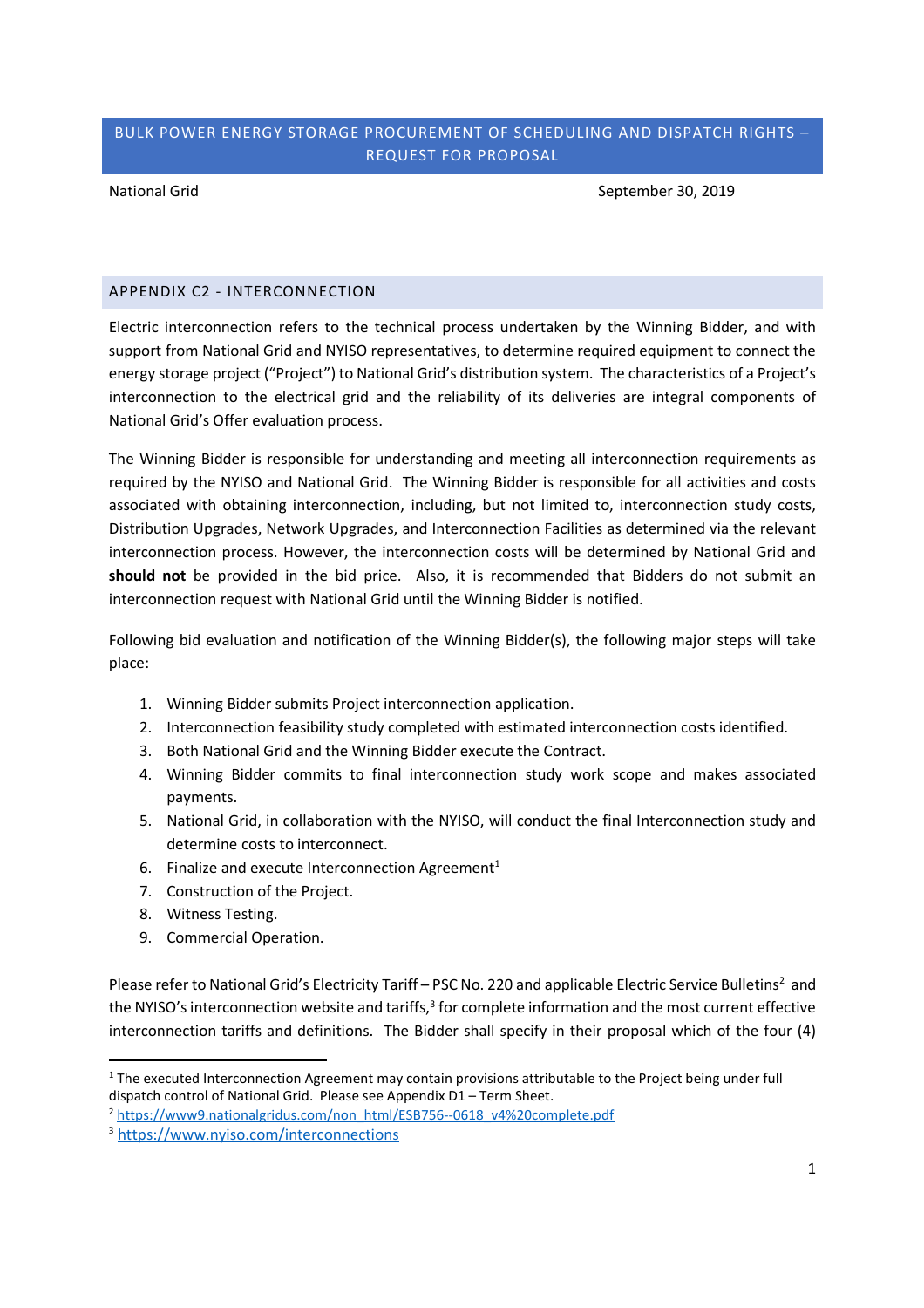## BULK POWER ENERGY STORAGE PROCUREMENT OF SCHEDULING AND DISPATCH RIGHTS – REQUEST FOR PROPOSAL

National Grid September 30, 2019

### APPENDIX C2 - INTERCONNECTION

Electric interconnection refers to the technical process undertaken by the Winning Bidder, and with support from National Grid and NYISO representatives, to determine required equipment to connect the energy storage project ("Project") to National Grid's distribution system. The characteristics of a Project's interconnection to the electrical grid and the reliability of its deliveries are integral components of National Grid's Offer evaluation process.

The Winning Bidder is responsible for understanding and meeting all interconnection requirements as required by the NYISO and National Grid. The Winning Bidder is responsible for all activities and costs associated with obtaining interconnection, including, but not limited to, interconnection study costs, Distribution Upgrades, Network Upgrades, and Interconnection Facilities as determined via the relevant interconnection process. However, the interconnection costs will be determined by National Grid and **should not** be provided in the bid price. Also, it is recommended that Bidders do not submit an interconnection request with National Grid until the Winning Bidder is notified.

Following bid evaluation and notification of the Winning Bidder(s), the following major steps will take place:

- 1. Winning Bidder submits Project interconnection application.
- 2. Interconnection feasibility study completed with estimated interconnection costs identified.
- 3. Both National Grid and the Winning Bidder execute the Contract.
- 4. Winning Bidder commits to final interconnection study work scope and makes associated payments.
- 5. National Grid, in collaboration with the NYISO, will conduct the final Interconnection study and determine costs to interconnect.
- 6. Finalize and execute Interconnection Agreement<sup>1</sup>
- 7. Construction of the Project.
- 8. Witness Testing.
- 9. Commercial Operation.

Please refer to National Grid's Electricity Tariff – PSC No. 220 and applicable Electric Service Bulletins<sup>2</sup> and the NYISO's interconnection website and tariffs,<sup>3</sup> for complete information and the most current effective interconnection tariffs and definitions. The Bidder shall specify in their proposal which of the four (4)

<sup>&</sup>lt;sup>1</sup> The executed Interconnection Agreement may contain provisions attributable to the Project being under full dispatch control of National Grid. Please see Appendix D1 – Term Sheet.

<sup>&</sup>lt;sup>2</sup> https://www9.nationalgridus.com/non\_html/ESB756--0618\_v4%20complete.pdf

<sup>3</sup> https://www.nyiso.com/interconnections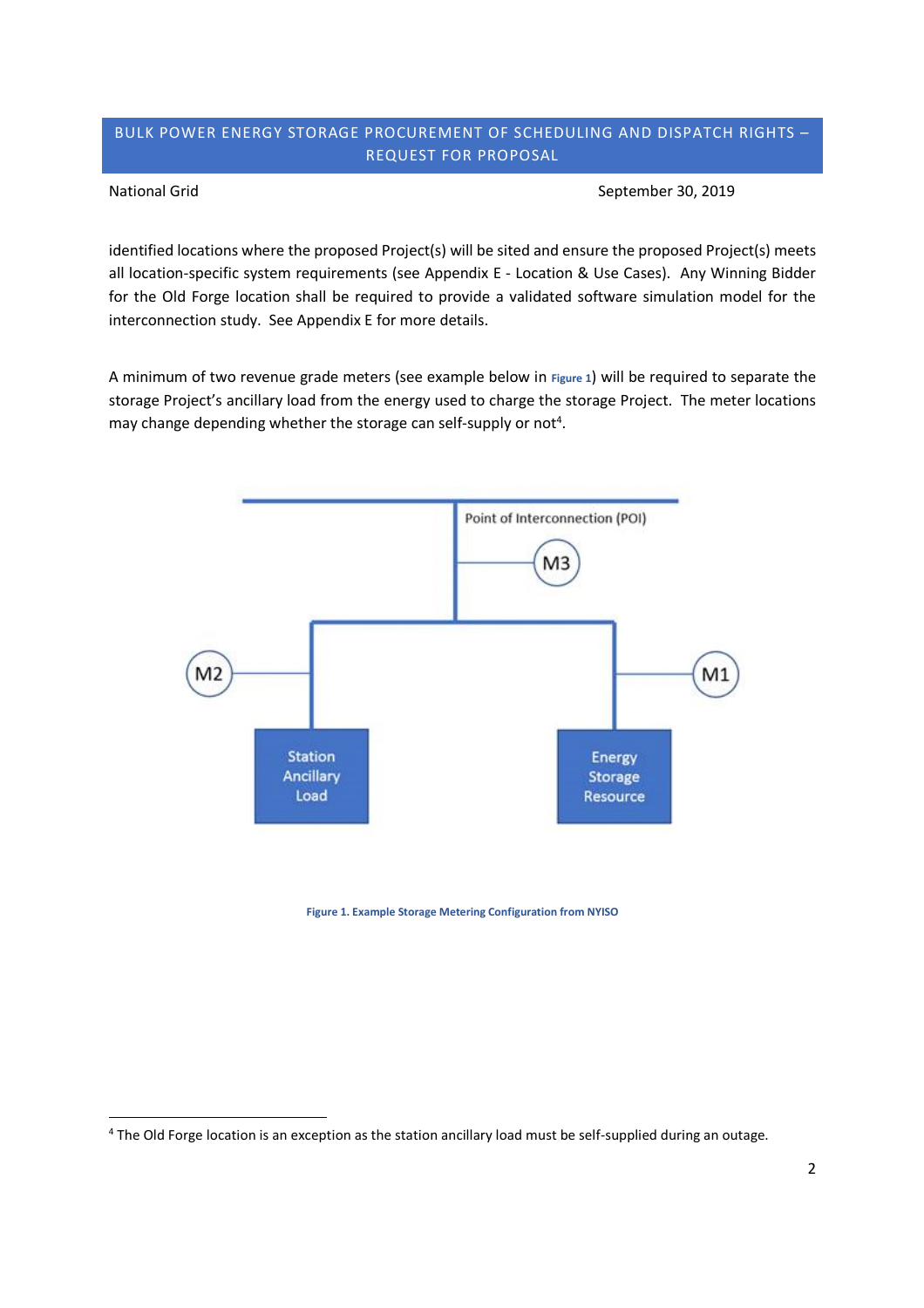### BULK POWER ENERGY STORAGE PROCUREMENT OF SCHEDULING AND DISPATCH RIGHTS – REQUEST FOR PROPOSAL

National Grid September 30, 2019

identified locations where the proposed Project(s) will be sited and ensure the proposed Project(s) meets all location-specific system requirements (see Appendix E - Location & Use Cases). Any Winning Bidder for the Old Forge location shall be required to provide a validated software simulation model for the interconnection study. See Appendix E for more details.

A minimum of two revenue grade meters (see example below in **Figure 1**) will be required to separate the storage Project's ancillary load from the energy used to charge the storage Project. The meter locations may change depending whether the storage can self-supply or not<sup>4</sup>.



**Figure 1. Example Storage Metering Configuration from NYISO**

<sup>4</sup> The Old Forge location is an exception as the station ancillary load must be self-supplied during an outage.